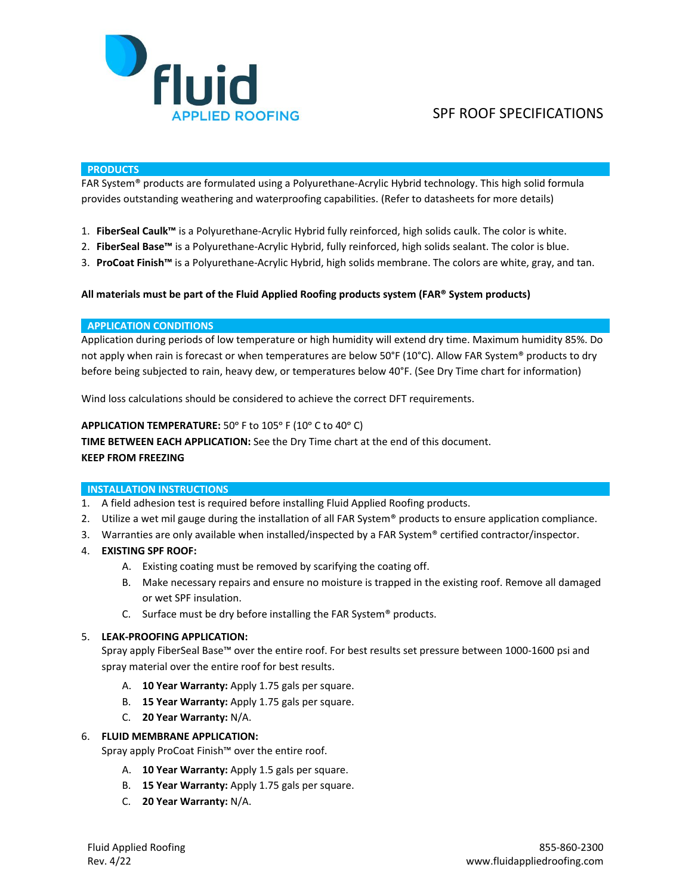

# SPF ROOF SPECIFICATIONS

### **PRODUCTS**

FAR System® products are formulated using a Polyurethane-Acrylic Hybrid technology. This high solid formula provides outstanding weathering and waterproofing capabilities. (Refer to datasheets for more details)

- 1. **FiberSeal Caulk™** is a Polyurethane-Acrylic Hybrid fully reinforced, high solids caulk. The color is white.
- 2. **FiberSeal Base™** is a Polyurethane-Acrylic Hybrid, fully reinforced, high solids sealant. The color is blue.
- 3. **ProCoat Finish™** is a Polyurethane-Acrylic Hybrid, high solids membrane. The colors are white, gray, and tan.

# **All materials must be part of the Fluid Applied Roofing products system (FAR® System products)**

## **APPLICATION CONDITIONS**

Application during periods of low temperature or high humidity will extend dry time. Maximum humidity 85%. Do not apply when rain is forecast or when temperatures are below 50°F (10°C). Allow FAR System® products to dry before being subjected to rain, heavy dew, or temperatures below 40°F. (See Dry Time chart for information)

Wind loss calculations should be considered to achieve the correct DFT requirements.

# APPLICATION TEMPERATURE: 50° F to 105° F (10° C to 40° C)

**TIME BETWEEN EACH APPLICATION:** See the Dry Time chart at the end of this document.

# **KEEP FROM FREEZING**

### **INSTALLATION INSTRUCTIONS**

- 1. A field adhesion test is required before installing Fluid Applied Roofing products.
- 2. Utilize a wet mil gauge during the installation of all FAR System® products to ensure application compliance.
- 3. Warranties are only available when installed/inspected by a FAR System® certified contractor/inspector.
- 4. **EXISTING SPF ROOF:**
	- A. Existing coating must be removed by scarifying the coating off.
	- B. Make necessary repairs and ensure no moisture is trapped in the existing roof. Remove all damaged or wet SPF insulation.
	- C. Surface must be dry before installing the FAR System® products.

# 5. **LEAK-PROOFING APPLICATION:**

Spray apply FiberSeal Base™ over the entire roof. For best results set pressure between 1000-1600 psi and spray material over the entire roof for best results.

- A. **10 Year Warranty:** Apply 1.75 gals per square.
- B. **15 Year Warranty:** Apply 1.75 gals per square.
- C. **20 Year Warranty:** N/A.

# 6. **FLUID MEMBRANE APPLICATION:**

Spray apply ProCoat Finish™ over the entire roof.

- A. **10 Year Warranty:** Apply 1.5 gals per square.
- B. **15 Year Warranty:** Apply 1.75 gals per square.
- C. **20 Year Warranty:** N/A.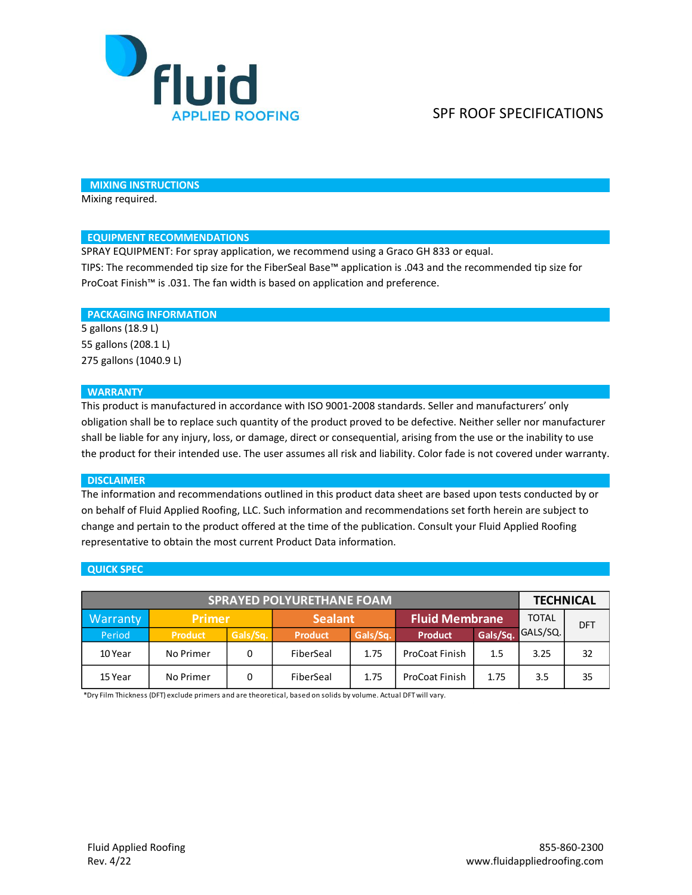

# SPF ROOF SPECIFICATIONS

**MIXING INSTRUCTIONS**

Mixing required.

# **EQUIPMENT RECOMMENDATIONS**

SPRAY EQUIPMENT: For spray application, we recommend using a Graco GH 833 or equal.

TIPS: The recommended tip size for the FiberSeal Base™ application is .043 and the recommended tip size for ProCoat Finish™ is .031. The fan width is based on application and preference.

### **PACKAGING INFORMATION**

5 gallons (18.9 L) 55 gallons (208.1 L) 275 gallons (1040.9 L)

## **WARRANTY**

This product is manufactured in accordance with ISO 9001-2008 standards. Seller and manufacturers' only obligation shall be to replace such quantity of the product proved to be defective. Neither seller nor manufacturer shall be liable for any injury, loss, or damage, direct or consequential, arising from the use or the inability to use the product for their intended use. The user assumes all risk and liability. Color fade is not covered under warranty.

### **DISCLAIMER**

The information and recommendations outlined in this product data sheet are based upon tests conducted by or on behalf of Fluid Applied Roofing, LLC. Such information and recommendations set forth herein are subject to change and pertain to the product offered at the time of the publication. Consult your Fluid Applied Roofing representative to obtain the most current Product Data information.

# **QUICK SPEC**

| <b>SPRAYED POLYURETHANE FOAM</b> |                |          |                |          |                       |          |              | <b>TECHNICAL</b> |  |
|----------------------------------|----------------|----------|----------------|----------|-----------------------|----------|--------------|------------------|--|
| Warranty                         | <b>Primer</b>  |          | <b>Sealant</b> |          | <b>Fluid Membrane</b> |          | <b>TOTAL</b> | <b>DFT</b>       |  |
| Period                           | <b>Product</b> | Gals/Sq. | <b>Product</b> | Gals/Sq. | <b>Product</b>        | Gals/Sq. | GALS/SQ.     |                  |  |
| 10 Year                          | No Primer      | $\Omega$ | FiberSeal      | 1.75     | ProCoat Finish        | 1.5      | 3.25         | 32               |  |
| 15 Year                          | No Primer      | 0        | FiberSeal      | 1.75     | ProCoat Finish        | 1.75     | 3.5          | 35               |  |

\*Dry Film Thickness (DFT) exclude primers and are theoretical, based on solids by volume. Actual DFT will vary.